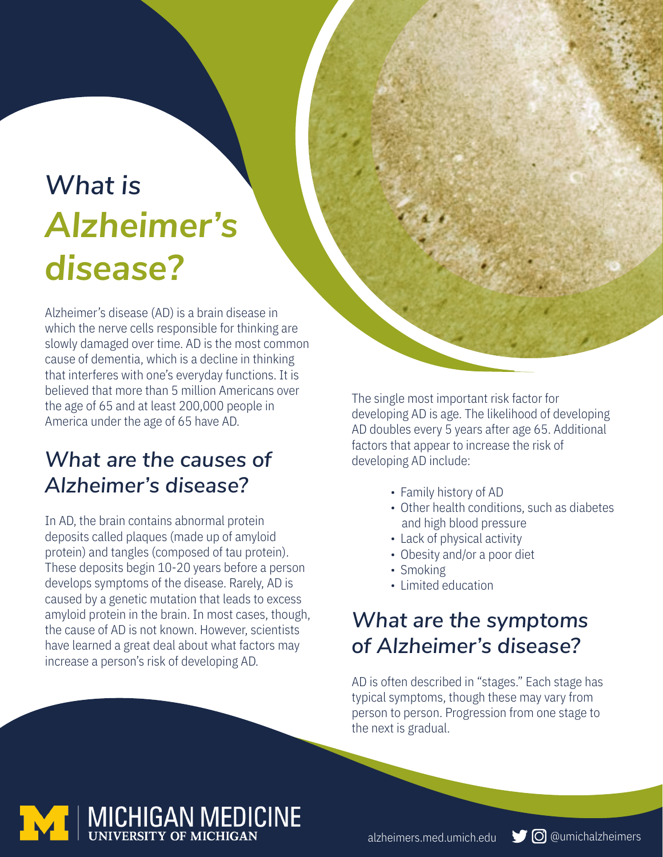# *What is Alzheimer's disease?*

Alzheimer's disease (AD) is a brain disease in which the nerve cells responsible for thinking are slowly damaged over time. AD is the most common cause of dementia, which is a decline in thinking that interferes with one's everyday functions. It is believed that more than 5 million Americans over the age of 65 and at least 200,000 people in America under the age of 65 have AD.

## *What are the causes of Alzheimer's disease?*

In AD, the brain contains abnormal protein deposits called plaques (made up of amyloid protein) and tangles (composed of tau protein). These deposits begin 10-20 years before a person develops symptoms of the disease. Rarely, AD is caused by a genetic mutation that leads to excess amyloid protein in the brain. In most cases, though, the cause of AD is not known. However, scientists have learned a great deal about what factors may increase a person's risk of developing AD.

The single most important risk factor for developing AD is age. The likelihood of developing AD doubles every 5 years after age 65. Additional factors that appear to increase the risk of developing AD include:

- Family history of AD
- Other health conditions, such as diabetes and high blood pressure
- Lack of physical activity
- Obesity and/or a poor diet
- Smoking
- Limited education

## *What are the symptoms of Alzheimer's disease?*

AD is often described in "stages." Each stage has typical symptoms, though these may vary from person to person. Progression from one stage to the next is gradual.